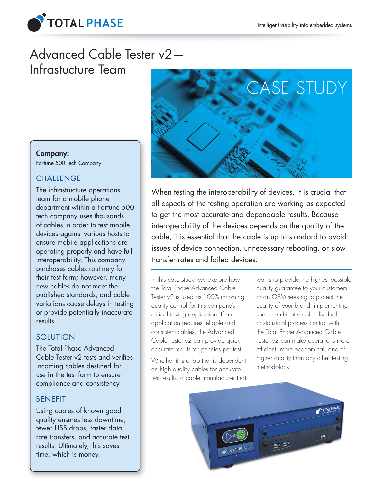

# Advanced Cable Tester v2— Infrastucture Team



# When testing the interoperability of devices, it is crucial that all aspects of the testing operation are working as expected to get the most accurate and dependable results. Because interoperability of the devices depends on the quality of the cable, it is essential that the cable is up to standard to avoid issues of device connection, unnecessary rebooting, or slow transfer rates and failed devices.

In this case study, we explore how the Total Phase Advanced Cable Tester v2 is used as 100% incoming quality control for this company's critical testing application. If an application requires reliable and consistent cables, the Advanced Cable Tester v2 can provide quick, accurate results for pennies per test.

Whether it is a lab that is dependent on high quality cables for accurate test results, a cable manufacturer that wants to provide the highest possible quality guarantee to your customers, or an OEM seeking to protect the quality of your brand, implementing some combination of individual or statistical process control with the Total Phase Advanced Cable Tester v2 can make operations more efficient, more economical, and of higher quality than any other testing methodology.



### Company:

Fortune 500 Tech Company

## **CHALLENGE**

The infrastructure operations team for a mobile phone department within a Fortune 500 tech company uses thousands of cables in order to test mobile devices against various hosts to ensure mobile applications are operating properly and have full interoperability. This company purchases cables routinely for their test farm; however, many new cables do not meet the published standards, and cable variations cause delays in testing or provide potentially inaccurate results.

# SOLUTION

The Total Phase Advanced Cable Tester v2 tests and verifies incoming cables destined for use in the test farm to ensure compliance and consistency.

## BENEFIT

Using cables of known good quality ensures less downtime, fewer USB drops, faster data rate transfers, and accurate test results. Ultimately, this saves time, which is money.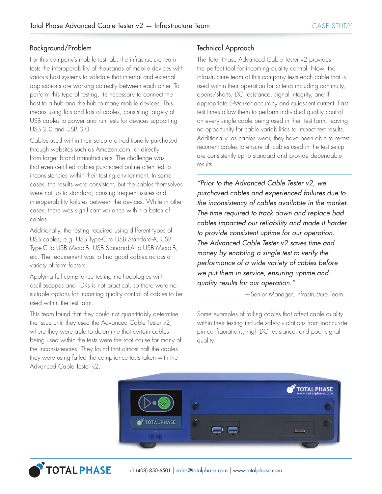#### Background/Problem

For this company's mobile test lab, the infrastructure team tests the interoperability of thousands of mobile devices with various host systems to validate that internal and external applications are working correctly between each other. To perform this type of testing, it's necessary to connect the host to a hub and the hub to many mobile devices. This means using lots and lots of cables, consisting largely of USB cables to power and run tests for devices supporting USB 2.0 and USB 3.0.

Cables used within their setup are traditionally purchased through websites such as Amazon.com, or directly from larger brand manufacturers. The challenge was that even certified cables purchased online often led to inconsistencies within their testing environment. In some cases, the results were consistent, but the cables themselves were not up to standard, causing frequent issues and interoperability failures between the devices. While in other cases, there was significant variance within a batch of cables.

Additionally, the testing required using different types of USB cables, e.g. USB Type-C to USB Standard-A, USB Type-C to USB Micro-B, USB Standard-A to USB Micro-B, etc. The requirement was to find good cables across a variety of form factors.

Applying full compliance testing methodologies with oscilloscopes and TDRs is not practical, so there were no suitable options for incoming quality control of cables to be used within the test farm.

This team found that they could not quantifiably determine the issue until they used the Advanced Cable Tester v2, where they were able to determine that certain cables being used within the tests were the root cause for many of the inconsistencies. They found that almost half the cables they were using failed the compliance tests taken with the Advanced Cable Tester v2.

#### Technical Approach

The Total Phase Advanced Cable Tester v2 provides the perfect tool for incoming quality control. Now, the infrastructure team at this company tests each cable that is used within their operation for criteria including continuity, opens/shorts, DC resistance, signal integrity, and if appropriate E-Marker accuracy and quiescent current. Fast test times allow them to perform individual quality control on every single cable being used in their test farm, leaving no opportunity for cable variabilities to impact test results. Additionally, as cables wear, they have been able to re-test recurrent cables to ensure all cables used in the test setup are consistently up to standard and provide dependable results.

*"Prior to the Advanced Cable Tester v2, we purchased cables and experienced failures due to the inconsistency of cables available in the market. The time required to track down and replace bad cables impacted our reliability and made it harder to provide consistent uptime for our operation. The Advanced Cable Tester v2 saves time and money by enabling a single test to verify the performance of a wide variety of cables before we put them in service, ensuring uptime and quality results for our operation."*

—Senior Manager, Infrastructure Team

Some examples of failing cables that affect cable quality within their testing include safety violations from inaccurate pin configurations, high DC resistance, and poor signal quality.



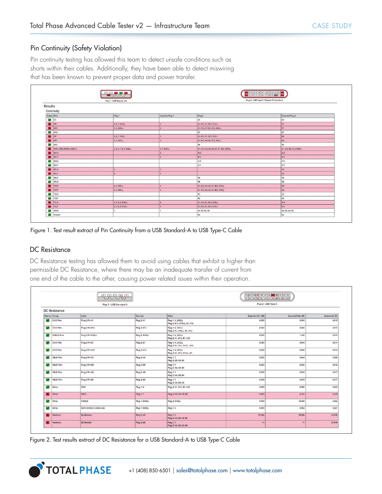#### Pin Continuity (Safety Violation)

Pin continuity testing has allowed this team to detect unsafe conditions such as shorts within their cables. Additionally, they have been able to detect miswiring that has been known to prevent proper data and power transfer.

|                                              | $300$ $700$<br><b>E 4   3   3   2   1   1  </b> |                 |                                           | 2 A11 A10 A9 A8 A7 A6 A5 A4 A3 A2<br>0 32 33 34 35 36 37 38 39 33 411 |  |
|----------------------------------------------|-------------------------------------------------|-----------------|-------------------------------------------|-----------------------------------------------------------------------|--|
|                                              | Plug 1: USB Standard-A                          |                 | Plug 2 : USB Type-C (Flipped Orientation) |                                                                       |  |
| Results<br>Continuity                        |                                                 |                 |                                           |                                                                       |  |
| Status Wire                                  | Plug 1                                          | Expected Plug 1 | Plug 2                                    | Expected Plug 2                                                       |  |
| $\sim$ $\alpha$                              |                                                 |                 | A <sub>5</sub>                            | A5                                                                    |  |
| $\blacksquare$<br>DN                         | 2, 4, 7, SHELL                                  | $\overline{ }$  | A1, A12, B1, B12, SHELL                   | A7                                                                    |  |
| <b>N</b> DN1                                 | 4, 7, SHELL                                     | $\overline{z}$  | A1, A12, A7, B1, B12, SHELL               | A7                                                                    |  |
| $\n  DN2\n$                                  |                                                 |                 | <b>B7</b>                                 | 87                                                                    |  |
| <b>N</b> DP                                  | 3, 4, 7, SHELL                                  | $\overline{z}$  | A1, A12, B1, B12, SHELL                   | A6                                                                    |  |
| $\blacksquare$<br>DP1                        | 4, 7, SHELL                                     |                 | A1, A12, A6, B1, B12, SHELL               | A6                                                                    |  |
| $\triangleright$ DP2                         |                                                 |                 | <b>B6</b>                                 | <b>B6</b>                                                             |  |
| GND, GND_DRAIN, SHIELD<br>$\blacksquare$     | 2, 3, 4, 7, 8, 9, SHELL                         | 4, 7, SHELL     | A1, A12, A2, A3, A6, A7, B1, B12, SHELL   | A1, A12, B1, B12, SHELL                                               |  |
| $\mathbf{m}$<br><b>RX1N</b>                  |                                                 |                 | 810                                       | <b>B10</b>                                                            |  |
| $\blacksquare$<br><b>RX1P</b>                |                                                 |                 | <b>B11</b>                                | <b>B11</b>                                                            |  |
| $\mathcal{L}$<br>RX2N                        |                                                 |                 | A10                                       | A10                                                                   |  |
| $\n1 RX2P$                                   |                                                 |                 | A11                                       | A11                                                                   |  |
| <b>X</b> RX <sub>N</sub>                     |                                                 |                 |                                           | A3                                                                    |  |
| <b>X</b> RXP                                 |                                                 |                 |                                           | A2                                                                    |  |
| $\triangleright$ SBUT                        |                                                 |                 | A8                                        | A8                                                                    |  |
| $\overline{\phantom{a}}$<br>SBU <sub>2</sub> |                                                 |                 | <b>B8</b>                                 | <b>B8</b>                                                             |  |
| $\blacksquare$<br>TX1N                       | 4, 7, SHELL                                     |                 | A1, A12, A2, A3, B1, B12, SHELL           | A3                                                                    |  |
| <b>X</b> TXIP                                | 4, 7, SHELL                                     | 5               | A1, A12, A2, A3, B1, B12, SHELL           | A <sub>2</sub>                                                        |  |
| $\overline{\phantom{a}}$<br>TX2N             |                                                 |                 | <b>B3</b>                                 | <b>B3</b>                                                             |  |
| $\blacksquare$ TX2P                          |                                                 |                 | <b>B2</b>                                 | <b>B2</b>                                                             |  |
| <b>X</b> TXN                                 | 4, 7, 8, 9, SHELL                               |                 | A1, A12, B1, B12, SHELL                   | <b>B10</b>                                                            |  |
| $\blacksquare$<br><b>TXP</b>                 | 4, 7, 8, 9, SHELL                               |                 | A1, A12, B1, B12, SHELL                   | 811                                                                   |  |
| <b>VBUS</b>                                  |                                                 |                 | A4, A9, B4, B9                            | A4, A9, B4, B9                                                        |  |
| $\sim$<br>VCONN                              |                                                 |                 | 85                                        | B <sub>5</sub>                                                        |  |

Figure 1. Test result extract of Pin Continuity from a USB Standard-A to USB Type-C Cable

#### DC Resistance

DC Resistance testing has allowed them to avoid using cables that exhibit a higher than permissible DC Resistance, where there may be an inadequate transfer of current from one end of the cable to the other, causing power related issues within their operation.

| 113211<br>Plug 1: USB Standard-A |                    |                               |                   | 81 82 83 84 85 86 87 88 89 810 811 812<br>Plug 2: USB Type-C |                         |                         |                     |  |  |  |
|----------------------------------|--------------------|-------------------------------|-------------------|--------------------------------------------------------------|-------------------------|-------------------------|---------------------|--|--|--|
| <b>DC</b> Resistance             |                    |                               |                   |                                                              |                         |                         |                     |  |  |  |
|                                  | Status Group       | Label                         | Sources           | Sinks                                                        | Expected Min $(\Omega)$ | Expected Max $(\Omega)$ | Measured $(\Omega)$ |  |  |  |
|                                  | GND Pins           | Plug 2 Pin A1                 | Plug 2: A1        | Plug 1: 4, SHELL<br>Plug 2: B12, SHELL, B1, A12              | 0.000                   | 0.040                   | 0.015               |  |  |  |
|                                  | GND Pins           | Plug 2 Pin B12                | Plug 2: B12       | Plug 1: 4, SHELL<br>Plug 2: A1, SHELL, B1, A12               | 0.000                   | 0.040                   | 0.015               |  |  |  |
|                                  | SHIELD Pins        | Plug 2 Pin SHELL              | Plug 2: SHELL     | Plug 1: 4, SHELL<br>Plug 2: A1, B12, B1, A12                 | 0.000                   | 1,500                   | 0.015               |  |  |  |
|                                  | GND Pins           | Plug 2 Pin B1                 | Plug 2: B1        | Plug 1: 4, SHELL<br>Plug 2: A1, B12, SHELL, A12              | 0.000                   | 0.040                   | 0.014               |  |  |  |
| $\sim$                           | <b>GND Pins</b>    | Plug 2 Pin A12                | Plug 2: A12       | Plug 1: 4, SHELL<br>Plug 2: A1, B12, SHELL, B1               | 0.000                   | 0.040                   | 0.015               |  |  |  |
|                                  | <b>VBUS PINS</b>   | Plug 2 Pin A4                 | Plug 2: A4        | Plug 1:1<br>Plug 2: B9, A9, B4                               | 0.000                   | 0.040                   | 0.020               |  |  |  |
|                                  | VBUS Pins          | Plug 2 Pin B9                 | Plug 2: B9        | Plug 1:1<br>Plug 2: A4, A9, B4                               | 0.000                   | 0.040                   | 0.016               |  |  |  |
|                                  | <b>VBUS Pins</b>   | Plug 2 Pin A9                 | <b>Plug 2: A9</b> | <b>Plug 1:1</b><br>Plug 2: A4, B9, B4                        | 0.000                   | 0.040                   | 0.017               |  |  |  |
|                                  | VBUS Pins          | Plug 2 Pin B4                 | <b>Plug 2: B4</b> | Plug 1: 1<br>Plug 2: A4, B9, A9                              | 0.000                   | 0.040                   | 0.017               |  |  |  |
|                                  | $\vee$ Wires       | GND                           | <b>Plug 1:4</b>   | Plug 2: A1, B12, B1, A12                                     | 0.000                   | 0.083                   | 0.053               |  |  |  |
|                                  | <b>X</b> Wires     | <b>VBUS</b>                   | <b>Plug 1:1</b>   | Plug 2: A4, B9, A9, B4                                       | 0.000                   | 0.167                   | 0.229               |  |  |  |
|                                  | <b>V</b> ires      | SHIELD                        | Plug 1: SHELL     | Plug 2: SHELL                                                | 0.000                   | 15,000                  | 0.052               |  |  |  |
|                                  | $\vee$ Wires       | <b>GND+SHIELD A-Side Link</b> | Plug 1: SHELL     | <b>Plug 1:4</b>                                              | 0.000                   | 0.052                   | 0.041               |  |  |  |
|                                  | <b>X</b> Resistors | <b>Rp Resistor</b>            | Plug 2: AS        | Plug 1:1<br>Plug 2: A4, B9, A9, B4                           | 53.20k                  | 58.80k                  | 45.07k              |  |  |  |
|                                  | <b>X</b> Resistors | <b>B5 Resistor</b>            | <b>Plug 2: B5</b> | <b>Plug 1:1</b><br>Plug 2: A4, B9, A9, B4                    | $\infty$                | $\infty$                | 57.84k              |  |  |  |

Figure 2. Test results extract of DC Resistance for a USB Standard-A to USB Type-C Cable

**TOTAL PHASE**